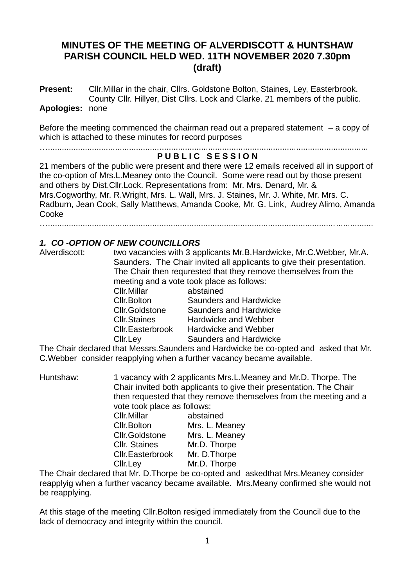# **MINUTES OF THE MEETING OF ALVERDISCOTT & HUNTSHAW PARISH COUNCIL HELD WED. 11TH NOVEMBER 2020 7.30pm (draft)**

**Present:** Cllr.Millar in the chair, Cllrs. Goldstone Bolton, Staines, Ley, Easterbrook. County Cllr. Hillyer, Dist Cllrs. Lock and Clarke. 21 members of the public.

#### **Apologies:** none

Before the meeting commenced the chairman read out a prepared statement  $-$  a copy of which is attached to these minutes for record purposes

…..........................................................................................................................................

# **P U B L I C S E S S I O N**

21 members of the public were present and there were 12 emails received all in support of the co-option of Mrs.L.Meaney onto the Council. Some were read out by those present and others by Dist.Cllr.Lock. Representations from: Mr. Mrs. Denard, Mr. & Mrs.Cogworthy, Mr. R.Wright, Mrs. L. Wall, Mrs. J. Staines, Mr. J. White, Mr. Mrs. C. Radburn, Jean Cook, Sally Matthews, Amanda Cooke, Mr. G. Link, Audrey Alimo, Amanda Cooke

…............................................................................................................................................

#### *1. CO -OPTION OF NEW COUNCILLORS*

Alverdiscott: two vacancies with 3 applicants Mr.B.Hardwicke, Mr.C.Webber, Mr.A. Saunders. The Chair invited all applicants to give their presentation. The Chair then requrested that they remove themselves from the meeting and a vote took place as follows: Cllr.Millar abstained Cllr.Bolton Saunders and Hardwicke Cllr.Goldstone Saunders and Hardwicke Cllr.Staines Hardwicke and Webber Cllr.Easterbrook Hardwicke and Webber

Cllr.Ley Saunders and Hardwicke

The Chair declared that Messrs.Saunders and Hardwicke be co-opted and asked that Mr. C.Webber consider reapplying when a further vacancy became available.

Huntshaw: 1 vacancy with 2 applicants Mrs.L.Meaney and Mr.D. Thorpe. The Chair invited both applicants to give their presentation. The Chair then requested that they remove themselves from the meeting and a vote took place as follows:

| Cllr.Millar             | abstained      |
|-------------------------|----------------|
| Cllr.Bolton             | Mrs. L. Meaney |
| <b>Cllr.Goldstone</b>   | Mrs. L. Meaney |
| <b>Cllr. Staines</b>    | Mr.D. Thorpe   |
| <b>Cllr.Easterbrook</b> | Mr. D. Thorpe  |
| Cllr.Ley                | Mr.D. Thorpe   |
|                         |                |

The Chair declared that Mr. D.Thorpe be co-opted and askedthat Mrs.Meaney consider reapplyig when a further vacancy became available. Mrs.Meany confirmed she would not be reapplying.

At this stage of the meeting Cllr.Bolton resiged immediately from the Council due to the lack of democracy and integrity within the council.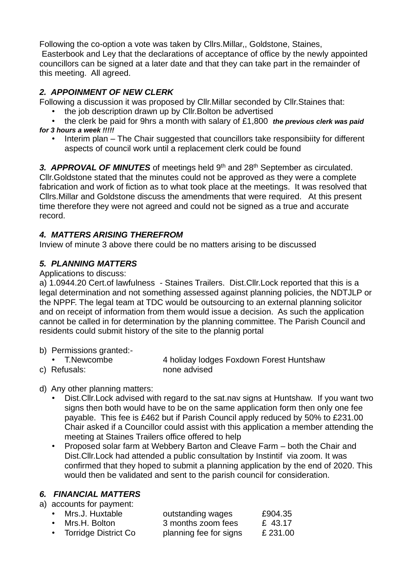Following the co-option a vote was taken by Cllrs.Millar,, Goldstone, Staines,

Easterbook and Ley that the declarations of acceptance of office by the newly appointed councillors can be signed at a later date and that they can take part in the remainder of this meeting. All agreed.

## *2. APPOINMENT OF NEW CLERK*

Following a discussion it was proposed by Cllr.Millar seconded by Cllr.Staines that:

- the job description drawn up by Cllr.Bolton be advertised
- the clerk be paid for 9hrs a month with salary of £1,800 *the previous clerk was paid for 3 hours a week !!!!!*
	- Interim plan The Chair suggested that councillors take responsibiity for different aspects of council work until a replacement clerk could be found

3. APPROVAL OF MINUTES of meetings held 9<sup>th</sup> and 28<sup>th</sup> September as circulated. Cllr.Goldstone stated that the minutes could not be approved as they were a complete fabrication and work of fiction as to what took place at the meetings. It was resolved that Cllrs.Millar and Goldstone discuss the amendments that were required. At this present time therefore they were not agreed and could not be signed as a true and accurate record.

# *4. MATTERS ARISING THEREFROM*

Inview of minute 3 above there could be no matters arising to be discussed

# *5. PLANNING MATTERS*

Applications to discuss:

a) 1.0944.20 Cert.of lawfulness - Staines Trailers. Dist.Cllr.Lock reported that this is a legal determination and not something assessed against planning policies, the NDTJLP or the NPPF. The legal team at TDC would be outsourcing to an external planning solicitor and on receipt of information from them would issue a decision. As such the application cannot be called in for determination by the planning committee. The Parish Council and residents could submit history of the site to the plannig portal

- b) Permissions granted:-
- T.Newcombe 4 holiday lodges Foxdown Forest Huntshaw
- c) Refusals: none advised

### d) Any other planning matters:

- Dist.Cllr.Lock advised with regard to the sat.nav signs at Huntshaw. If you want two signs then both would have to be on the same application form then only one fee payable. This fee is £462 but if Parish Council apply reduced by 50% to £231.00 Chair asked if a Councillor could assist with this application a member attending the meeting at Staines Trailers office offered to help
- Proposed solar farm at Webbery Barton and Cleave Farm both the Chair and Dist.Cllr.Lock had attended a public consultation by Instintif via zoom. It was confirmed that they hoped to submit a planning application by the end of 2020. This would then be validated and sent to the parish council for consideration.

### *6. FINANCIAL MATTERS*

a) accounts for payment:

| • Mrs.J. Huxtable      | outstanding wages      | £904.35  |
|------------------------|------------------------|----------|
| • Mrs.H. Bolton        | 3 months zoom fees     | £ 43.17  |
| • Torridge District Co | planning fee for signs | £ 231.00 |